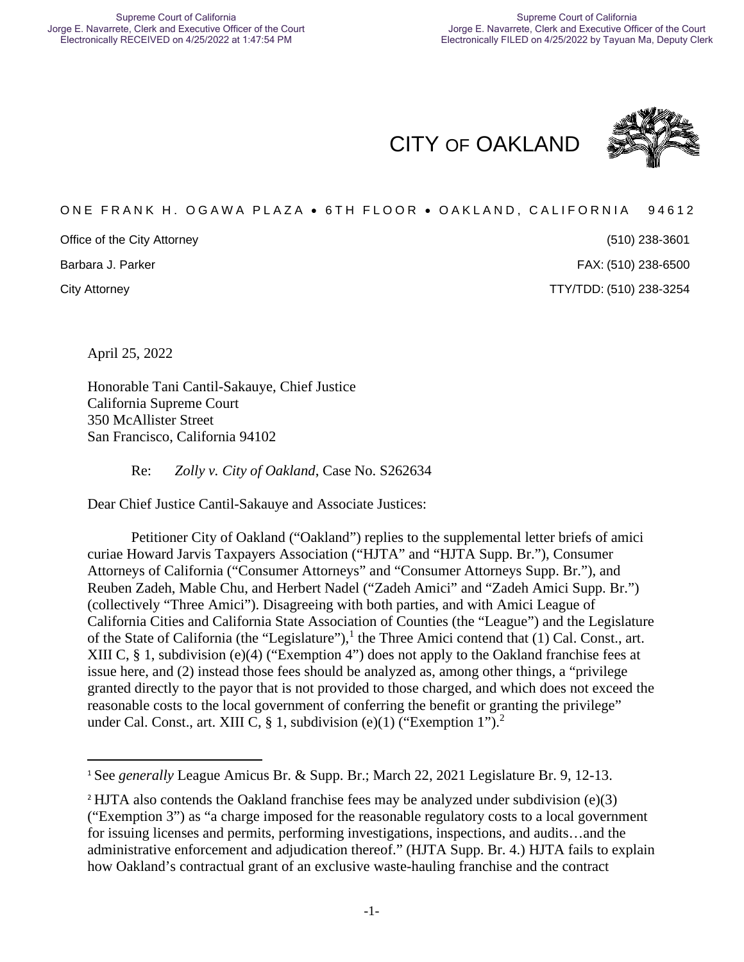CITY OF OAKLAND



# ONE FRANK H. OGAWA PLAZA . 6TH FLOOR . OAKLAND, CALIFORNIA 94612

Office of the City Attorney

Barbara J. Parker

(510) 238-3601 (510) 238-6500

City Attorney TTY/TDD: (510) 238-3254

April 25, 2022

Honorable Tani Cantil-Sakauye, Chief Justice California Supreme Court 350 McAllister Street San Francisco, California 94102

Re: *Zolly v. City of Oakland*, Case No. S262634

Dear Chief Justice Cantil-Sakauye and Associate Justices:

Petitioner City of Oakland ("Oakland") replies to the supplemental letter briefs of amici curiae Howard Jarvis Taxpayers Association ("HJTA" and "HJTA Supp. Br."), Consumer Attorneys of California ("Consumer Attorneys" and "Consumer Attorneys Supp. Br."), and Reuben Zadeh, Mable Chu, and Herbert Nadel ("Zadeh Amici" and "Zadeh Amici Supp. Br.") (collectively "Three Amici"). Disagreeing with both parties, and with Amici League of California Cities and California State Association of Counties (the "League") and the Legislature of the State of California (the "Legislature"),<sup>1</sup> the Three Amici contend that (1) Cal. Const., art. XIII C, § 1, subdivision (e)(4) ("Exemption 4") does not apply to the Oakland franchise fees at issue here, and (2) instead those fees should be analyzed as, among other things, a "privilege granted directly to the payor that is not provided to those charged, and which does not exceed the reasonable costs to the local government of conferring the benefit or granting the privilege" under Cal. Const., art. XIII C, § 1, subdivision (e)(1) ("Exemption 1").<sup>2</sup>

<sup>1</sup> See *generally* League Amicus Br. & Supp. Br.; March 22, 2021 Legislature Br. 9, 12-13.

<sup>&</sup>lt;sup>2</sup> HJTA also contends the Oakland franchise fees may be analyzed under subdivision (e)(3) ("Exemption 3") as "a charge imposed for the reasonable regulatory costs to a local government for issuing licenses and permits, performing investigations, inspections, and audits…and the administrative enforcement and adjudication thereof." (HJTA Supp. Br. 4.) HJTA fails to explain how Oakland's contractual grant of an exclusive waste-hauling franchise and the contract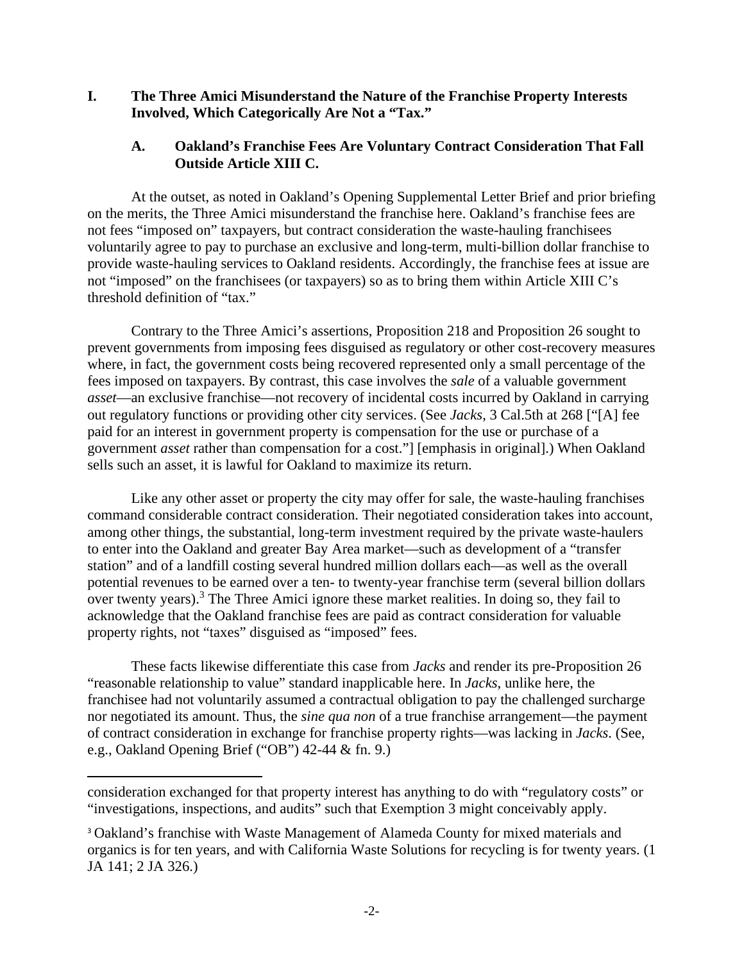**I. The Three Amici Misunderstand the Nature of the Franchise Property Interests Involved, Which Categorically Are Not a "Tax."** 

## **A. Oakland's Franchise Fees Are Voluntary Contract Consideration That Fall Outside Article XIII C.**

At the outset, as noted in Oakland's Opening Supplemental Letter Brief and prior briefing on the merits, the Three Amici misunderstand the franchise here. Oakland's franchise fees are not fees "imposed on" taxpayers, but contract consideration the waste-hauling franchisees voluntarily agree to pay to purchase an exclusive and long-term, multi-billion dollar franchise to provide waste-hauling services to Oakland residents. Accordingly, the franchise fees at issue are not "imposed" on the franchisees (or taxpayers) so as to bring them within Article XIII C's threshold definition of "tax."

Contrary to the Three Amici's assertions, Proposition 218 and Proposition 26 sought to prevent governments from imposing fees disguised as regulatory or other cost-recovery measures where, in fact, the government costs being recovered represented only a small percentage of the fees imposed on taxpayers. By contrast, this case involves the *sale* of a valuable government *asset*—an exclusive franchise—not recovery of incidental costs incurred by Oakland in carrying out regulatory functions or providing other city services. (See *Jacks*, 3 Cal.5th at 268 ["[A] fee paid for an interest in government property is compensation for the use or purchase of a government *asset* rather than compensation for a cost."] [emphasis in original].) When Oakland sells such an asset, it is lawful for Oakland to maximize its return.

Like any other asset or property the city may offer for sale, the waste-hauling franchises command considerable contract consideration. Their negotiated consideration takes into account, among other things, the substantial, long-term investment required by the private waste-haulers to enter into the Oakland and greater Bay Area market—such as development of a "transfer station" and of a landfill costing several hundred million dollars each—as well as the overall potential revenues to be earned over a ten- to twenty-year franchise term (several billion dollars over twenty years).<sup>3</sup> The Three Amici ignore these market realities. In doing so, they fail to acknowledge that the Oakland franchise fees are paid as contract consideration for valuable property rights, not "taxes" disguised as "imposed" fees.

These facts likewise differentiate this case from *Jacks* and render its pre-Proposition 26 "reasonable relationship to value" standard inapplicable here. In *Jacks*, unlike here, the franchisee had not voluntarily assumed a contractual obligation to pay the challenged surcharge nor negotiated its amount. Thus, the *sine qua non* of a true franchise arrangement—the payment of contract consideration in exchange for franchise property rights—was lacking in *Jacks*. (See, e.g., Oakland Opening Brief ("OB") 42-44 & fn. 9.)

consideration exchanged for that property interest has anything to do with "regulatory costs" or "investigations, inspections, and audits" such that Exemption 3 might conceivably apply.

<sup>3</sup> Oakland's franchise with Waste Management of Alameda County for mixed materials and organics is for ten years, and with California Waste Solutions for recycling is for twenty years. (1 JA 141; 2 JA 326.)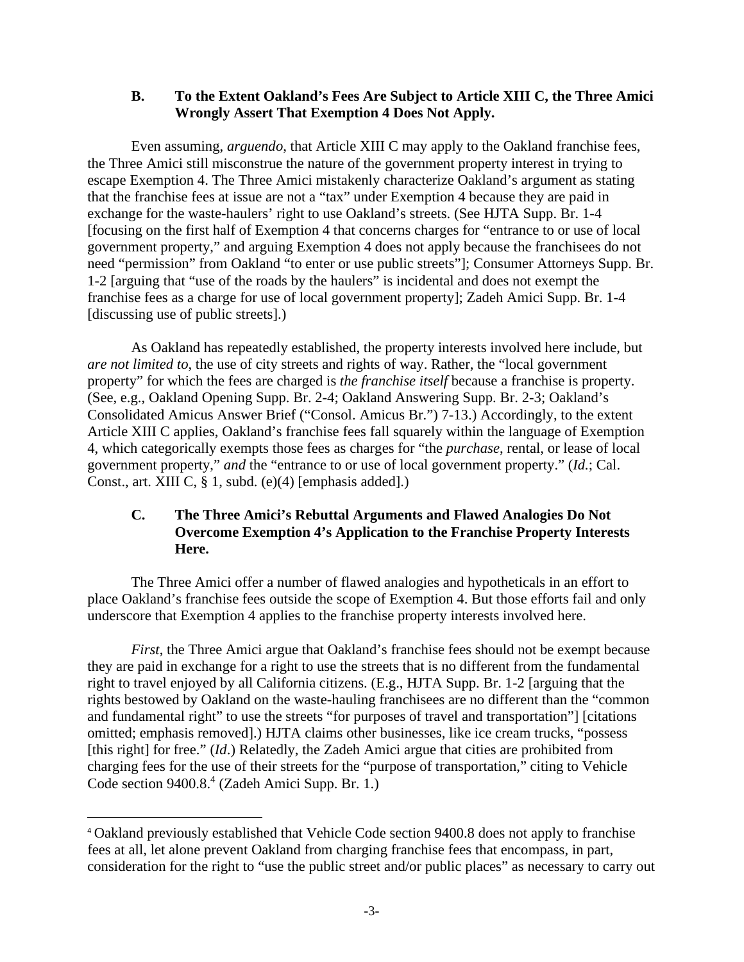#### **B. To the Extent Oakland's Fees Are Subject to Article XIII C, the Three Amici Wrongly Assert That Exemption 4 Does Not Apply.**

Even assuming, *arguendo*, that Article XIII C may apply to the Oakland franchise fees, the Three Amici still misconstrue the nature of the government property interest in trying to escape Exemption 4. The Three Amici mistakenly characterize Oakland's argument as stating that the franchise fees at issue are not a "tax" under Exemption 4 because they are paid in exchange for the waste-haulers' right to use Oakland's streets. (See HJTA Supp. Br. 1-4 [focusing on the first half of Exemption 4 that concerns charges for "entrance to or use of local government property," and arguing Exemption 4 does not apply because the franchisees do not need "permission" from Oakland "to enter or use public streets"]; Consumer Attorneys Supp. Br. 1-2 [arguing that "use of the roads by the haulers" is incidental and does not exempt the franchise fees as a charge for use of local government property]; Zadeh Amici Supp. Br. 1-4 [discussing use of public streets].)

As Oakland has repeatedly established, the property interests involved here include, but *are not limited to*, the use of city streets and rights of way. Rather, the "local government property" for which the fees are charged is *the franchise itself* because a franchise is property. (See, e.g., Oakland Opening Supp. Br. 2-4; Oakland Answering Supp. Br. 2-3; Oakland's Consolidated Amicus Answer Brief ("Consol. Amicus Br.") 7-13.) Accordingly, to the extent Article XIII C applies, Oakland's franchise fees fall squarely within the language of Exemption 4, which categorically exempts those fees as charges for "the *purchase*, rental, or lease of local government property," *and* the "entrance to or use of local government property." (*Id.*; Cal. Const., art. XIII C, § 1, subd. (e)(4) [emphasis added].)

# **C. The Three Amici's Rebuttal Arguments and Flawed Analogies Do Not Overcome Exemption 4's Application to the Franchise Property Interests Here.**

The Three Amici offer a number of flawed analogies and hypotheticals in an effort to place Oakland's franchise fees outside the scope of Exemption 4. But those efforts fail and only underscore that Exemption 4 applies to the franchise property interests involved here.

*First*, the Three Amici argue that Oakland's franchise fees should not be exempt because they are paid in exchange for a right to use the streets that is no different from the fundamental right to travel enjoyed by all California citizens. (E.g., HJTA Supp. Br. 1-2 [arguing that the rights bestowed by Oakland on the waste-hauling franchisees are no different than the "common and fundamental right" to use the streets "for purposes of travel and transportation"] [citations omitted; emphasis removed].) HJTA claims other businesses, like ice cream trucks, "possess [this right] for free." (*Id*.) Relatedly, the Zadeh Amici argue that cities are prohibited from charging fees for the use of their streets for the "purpose of transportation," citing to Vehicle Code section 9400.8.<sup>4</sup> (Zadeh Amici Supp. Br. 1.)

<sup>4</sup> Oakland previously established that Vehicle Code section 9400.8 does not apply to franchise fees at all, let alone prevent Oakland from charging franchise fees that encompass, in part, consideration for the right to "use the public street and/or public places" as necessary to carry out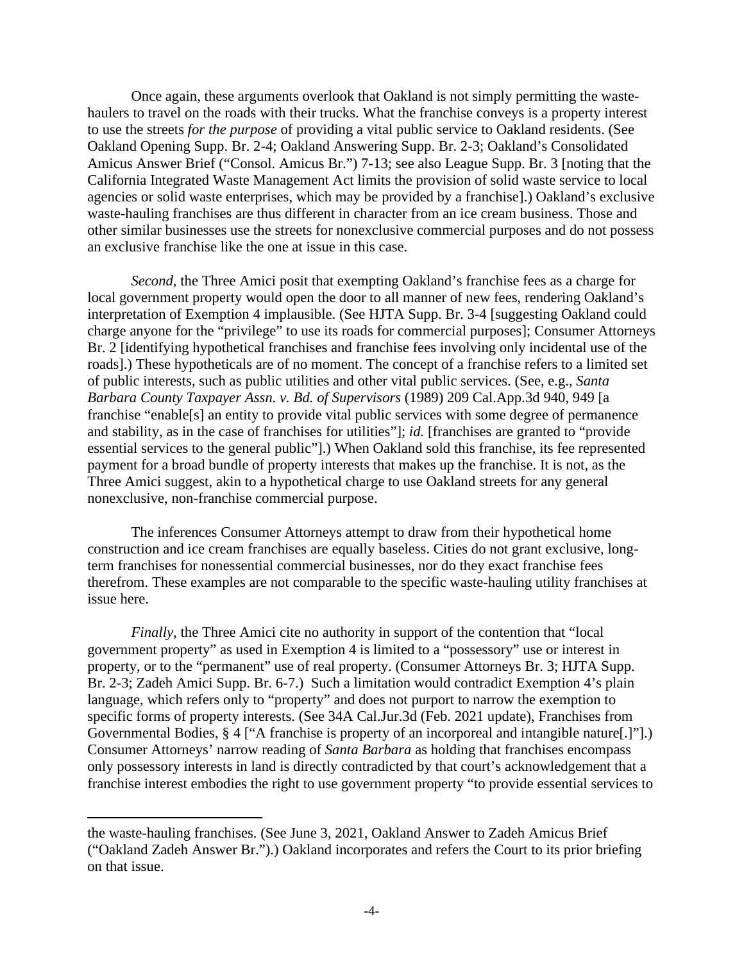Once again, these arguments overlook that Oakland is not simply permitting the wastehaulers to travel on the roads with their trucks. What the franchise conveys is a property interest to use the streets *for the purpose* of providing a vital public service to Oakland residents. (See Oakland Opening Supp. Br. 2-4; Oakland Answering Supp. Br. 2-3; Oakland's Consolidated Amicus Answer Brief ("Consol. Amicus Br.") 7-13; see also League Supp. Br. 3 [noting that the California Integrated Waste Management Act limits the provision of solid waste service to local agencies or solid waste enterprises, which may be provided by a franchise].) Oakland's exclusive waste-hauling franchises are thus different in character from an ice cream business. Those and other similar businesses use the streets for nonexclusive commercial purposes and do not possess an exclusive franchise like the one at issue in this case.

*Second*, the Three Amici posit that exempting Oakland's franchise fees as a charge for local government property would open the door to all manner of new fees, rendering Oakland's interpretation of Exemption 4 implausible. (See HJTA Supp. Br. 3-4 [suggesting Oakland could charge anyone for the "privilege" to use its roads for commercial purposes]; Consumer Attorneys Br. 2 [identifying hypothetical franchises and franchise fees involving only incidental use of the roads].) These hypotheticals are of no moment. The concept of a franchise refers to a limited set of public interests, such as public utilities and other vital public services. (See, e.g., *Santa Barbara County Taxpayer Assn. v. Bd. of Supervisors* (1989) 209 Cal.App.3d 940, 949 [a franchise "enable[s] an entity to provide vital public services with some degree of permanence and stability, as in the case of franchises for utilities"]; *id.* [franchises are granted to "provide essential services to the general public"].) When Oakland sold this franchise, its fee represented payment for a broad bundle of property interests that makes up the franchise. It is not, as the Three Amici suggest, akin to a hypothetical charge to use Oakland streets for any general nonexclusive, non-franchise commercial purpose.

The inferences Consumer Attorneys attempt to draw from their hypothetical home construction and ice cream franchises are equally baseless. Cities do not grant exclusive, longterm franchises for nonessential commercial businesses, nor do they exact franchise fees therefrom. These examples are not comparable to the specific waste-hauling utility franchises at issue here.

*Finally*, the Three Amici cite no authority in support of the contention that "local government property" as used in Exemption 4 is limited to a "possessory" use or interest in property, or to the "permanent" use of real property. (Consumer Attorneys Br. 3; HJTA Supp. Br. 2-3; Zadeh Amici Supp. Br. 6-7.) Such a limitation would contradict Exemption 4's plain language, which refers only to "property" and does not purport to narrow the exemption to specific forms of property interests. (See 34A Cal.Jur.3d (Feb. 2021 update), Franchises from Governmental Bodies, § 4 ["A franchise is property of an incorporeal and intangible nature[.]"].) Consumer Attorneys' narrow reading of *Santa Barbara* as holding that franchises encompass only possessory interests in land is directly contradicted by that court's acknowledgement that a franchise interest embodies the right to use government property "to provide essential services to

the waste-hauling franchises. (See June 3, 2021, Oakland Answer to Zadeh Amicus Brief ("Oakland Zadeh Answer Br.").) Oakland incorporates and refers the Court to its prior briefing on that issue.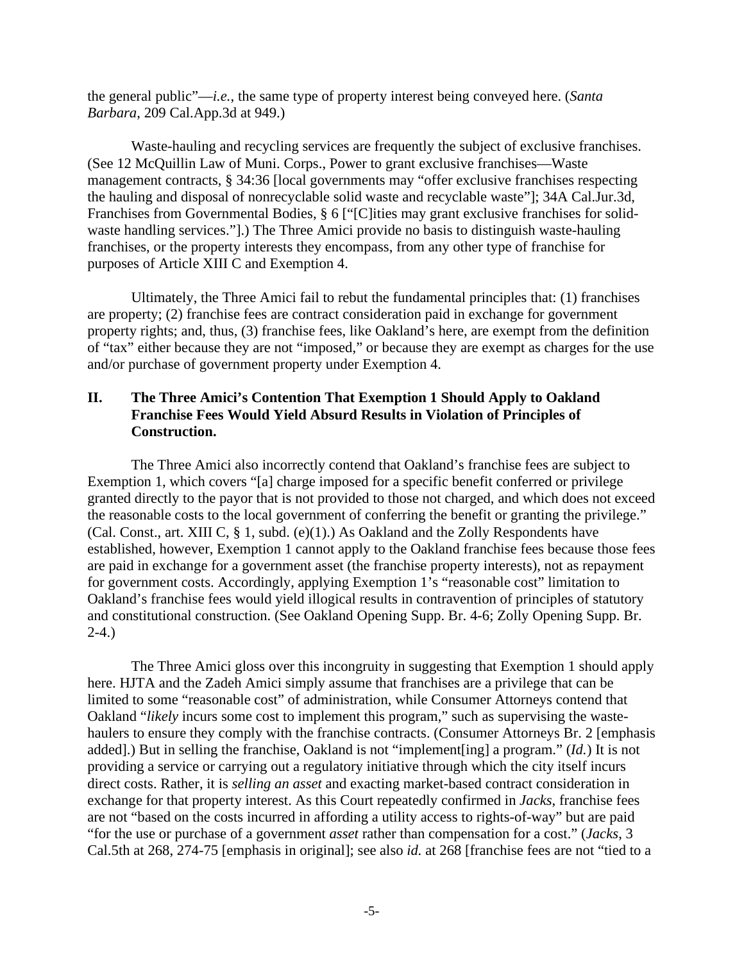the general public"—*i.e.*, the same type of property interest being conveyed here. (*Santa Barbara*, 209 Cal.App.3d at 949.)

Waste-hauling and recycling services are frequently the subject of exclusive franchises. (See 12 McQuillin Law of Muni. Corps., Power to grant exclusive franchises—Waste management contracts, § 34:36 [local governments may "offer exclusive franchises respecting the hauling and disposal of nonrecyclable solid waste and recyclable waste"]; 34A Cal.Jur.3d, Franchises from Governmental Bodies, § 6 ["[C]ities may grant exclusive franchises for solidwaste handling services."].) The Three Amici provide no basis to distinguish waste-hauling franchises, or the property interests they encompass, from any other type of franchise for purposes of Article XIII C and Exemption 4.

Ultimately, the Three Amici fail to rebut the fundamental principles that: (1) franchises are property; (2) franchise fees are contract consideration paid in exchange for government property rights; and, thus, (3) franchise fees, like Oakland's here, are exempt from the definition of "tax" either because they are not "imposed," or because they are exempt as charges for the use and/or purchase of government property under Exemption 4.

# **II. The Three Amici's Contention That Exemption 1 Should Apply to Oakland Franchise Fees Would Yield Absurd Results in Violation of Principles of Construction.**

The Three Amici also incorrectly contend that Oakland's franchise fees are subject to Exemption 1, which covers "[a] charge imposed for a specific benefit conferred or privilege granted directly to the payor that is not provided to those not charged, and which does not exceed the reasonable costs to the local government of conferring the benefit or granting the privilege." (Cal. Const., art. XIII C,  $\S$  1, subd. (e)(1).) As Oakland and the Zolly Respondents have established, however, Exemption 1 cannot apply to the Oakland franchise fees because those fees are paid in exchange for a government asset (the franchise property interests), not as repayment for government costs. Accordingly, applying Exemption 1's "reasonable cost" limitation to Oakland's franchise fees would yield illogical results in contravention of principles of statutory and constitutional construction. (See Oakland Opening Supp. Br. 4-6; Zolly Opening Supp. Br. 2-4.)

The Three Amici gloss over this incongruity in suggesting that Exemption 1 should apply here. HJTA and the Zadeh Amici simply assume that franchises are a privilege that can be limited to some "reasonable cost" of administration, while Consumer Attorneys contend that Oakland "*likely* incurs some cost to implement this program," such as supervising the wastehaulers to ensure they comply with the franchise contracts. (Consumer Attorneys Br. 2 [emphasis added].) But in selling the franchise, Oakland is not "implement[ing] a program." (*Id.*) It is not providing a service or carrying out a regulatory initiative through which the city itself incurs direct costs. Rather, it is *selling an asset* and exacting market-based contract consideration in exchange for that property interest. As this Court repeatedly confirmed in *Jacks*, franchise fees are not "based on the costs incurred in affording a utility access to rights-of-way" but are paid "for the use or purchase of a government *asset* rather than compensation for a cost." (*Jacks*, 3 Cal.5th at 268, 274-75 [emphasis in original]; see also *id.* at 268 [franchise fees are not "tied to a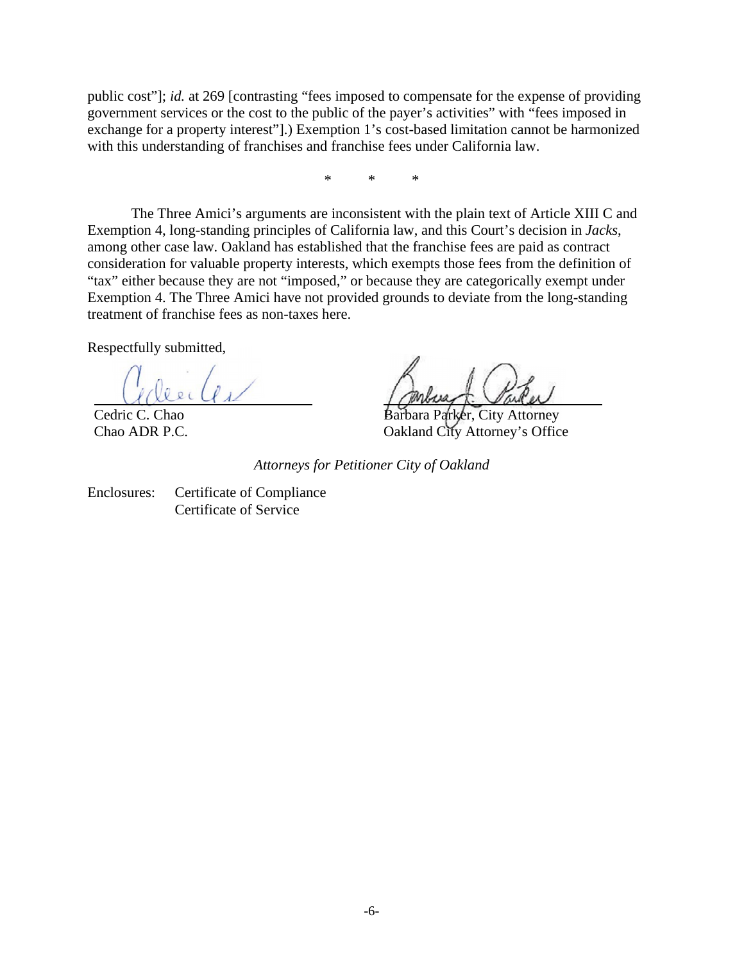public cost"]; *id.* at 269 [contrasting "fees imposed to compensate for the expense of providing government services or the cost to the public of the payer's activities" with "fees imposed in exchange for a property interest"].) Exemption 1's cost-based limitation cannot be harmonized with this understanding of franchises and franchise fees under California law.

\* \* \*

The Three Amici's arguments are inconsistent with the plain text of Article XIII C and Exemption 4, long-standing principles of California law, and this Court's decision in *Jacks*, among other case law. Oakland has established that the franchise fees are paid as contract consideration for valuable property interests, which exempts those fees from the definition of "tax" either because they are not "imposed," or because they are categorically exempt under Exemption 4. The Three Amici have not provided grounds to deviate from the long-standing treatment of franchise fees as non-taxes here.

Respectfully submitted,

Cedric C. Chao Chao ADR P.C.

er, City Attorney Oakland City Attorney's Office

*Attorneys for Petitioner City of Oakland* 

Enclosures: Certificate of Compliance Certificate of Service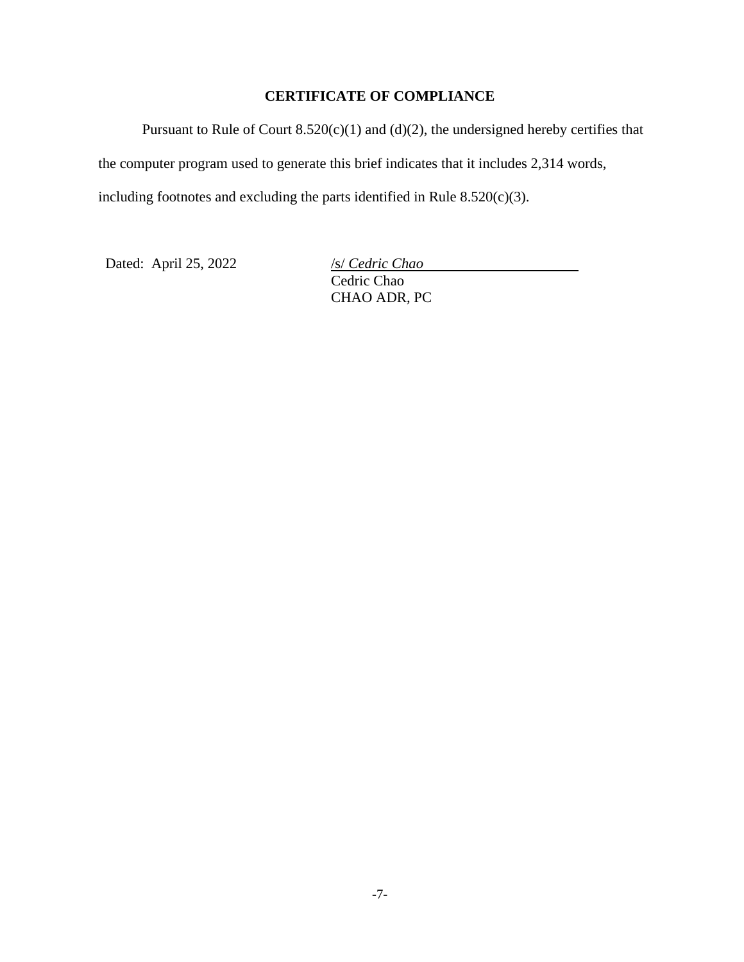# **CERTIFICATE OF COMPLIANCE**

Pursuant to Rule of Court  $8.520(c)(1)$  and  $(d)(2)$ , the undersigned hereby certifies that the computer program used to generate this brief indicates that it includes 2,314 words, including footnotes and excluding the parts identified in Rule  $8.520(c)(3)$ .

Dated: April 25, 2022 /s/ *Cedric Chao*

Cedric Chao CHAO ADR, PC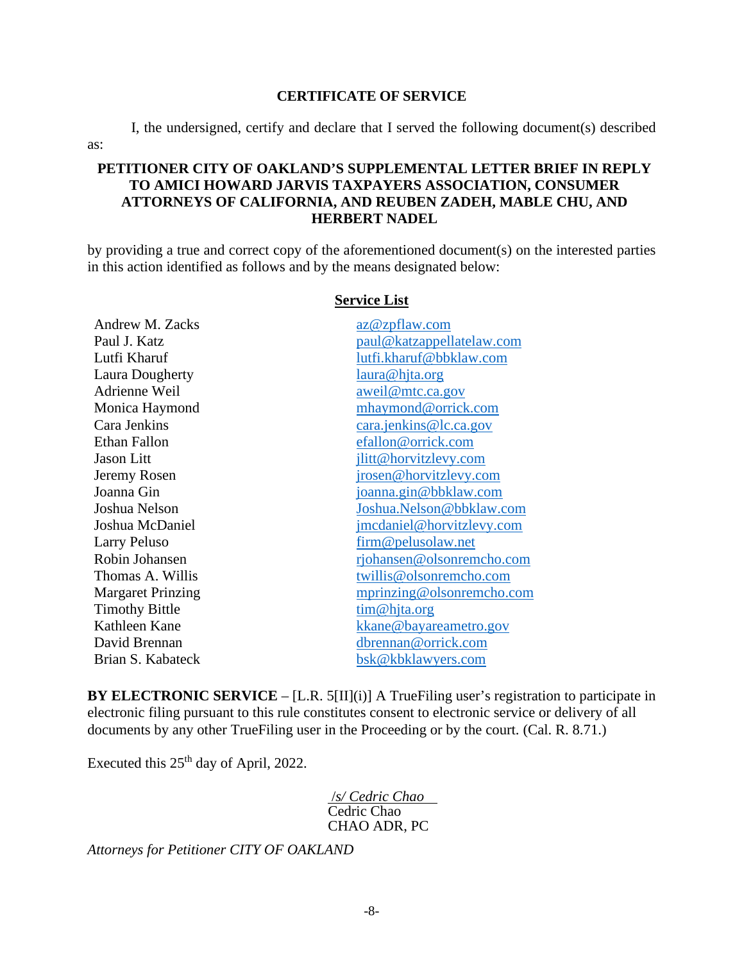#### **CERTIFICATE OF SERVICE**

I, the undersigned, certify and declare that I served the following document(s) described

# **PETITIONER CITY OF OAKLAND'S SUPPLEMENTAL LETTER BRIEF IN REPLY TO AMICI HOWARD JARVIS TAXPAYERS ASSOCIATION, CONSUMER ATTORNEYS OF CALIFORNIA, AND REUBEN ZADEH, MABLE CHU, AND HERBERT NADEL**

by providing a true and correct copy of the aforementioned document(s) on the interested parties in this action identified as follows and by the means designated below:

| Andrew M. Zacks          | az@zpflaw.com             |
|--------------------------|---------------------------|
| Paul J. Katz             | paul@katzappellatelaw.com |
| Lutfi Kharuf             | lutfi.kharuf@bbklaw.com   |
| Laura Dougherty          | laura@hjta.org            |
| Adrienne Weil            | aweil@mtc.ca.gov          |
| Monica Haymond           | mhaymond@orrick.com       |
| Cara Jenkins             | cara.jenkins@lc.ca.gov    |
| <b>Ethan Fallon</b>      | efallon@orrick.com        |
| Jason Litt               | jlitt@horvitzlevy.com     |
| Jeremy Rosen             | jrosen@horvitzlevy.com    |
| Joanna Gin               | joanna.gin@bbklaw.com     |
| Joshua Nelson            | Joshua.Nelson@bbklaw.com  |
| Joshua McDaniel          | jmcdaniel@horvitzlevy.com |
| <b>Larry Peluso</b>      | firm@pelusolaw.net        |
| Robin Johansen           | rjohansen@olsonremcho.com |
| Thomas A. Willis         | twillis@olsonremcho.com   |
| <b>Margaret Prinzing</b> | mprinzing@olsonremcho.com |
| <b>Timothy Bittle</b>    | tim@hjta.org              |
| Kathleen Kane            | kkane@bayareametro.gov    |
| David Brennan            | dbrennan@orrick.com       |
| Brian S. Kabateck        | bsk@kbklawyers.com        |

**Service List** 

**BY ELECTRONIC SERVICE** – [L.R. 5[II](i)] A TrueFiling user's registration to participate in electronic filing pursuant to this rule constitutes consent to electronic service or delivery of all documents by any other TrueFiling user in the Proceeding or by the court. (Cal. R. 8.71.)

Executed this  $25<sup>th</sup>$  day of April, 2022.

as:

 /*s/ Cedric Chao*  Cedric Chao CHAO ADR, PC

*Attorneys for Petitioner CITY OF OAKLAND*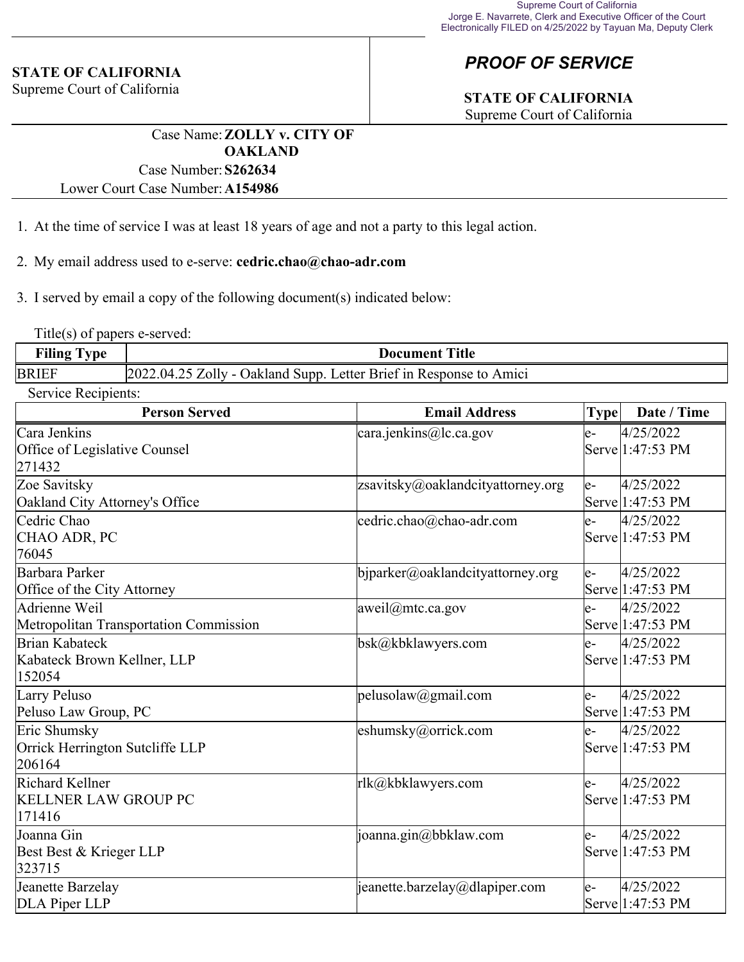# **STATE OF CALIFORNIA**

Supreme Court of California

# *PROOF OF SERVICE*

# **STATE OF CALIFORNIA**

Supreme Court of California

Case Name:**ZOLLY v. CITY OF OAKLAND** Case Number:**S262634**

Lower Court Case Number:**A154986**

- 1. At the time of service I was at least 18 years of age and not a party to this legal action.
- 2. My email address used to e-serve: **cedric.chao@chao-adr.com**

3. I served by email a copy of the following document(s) indicated below:

Title(s) of papers e-served:

| $\blacksquare$<br>œ<br>Filing<br>`ype | <b>Title</b><br>Document                                                        |  |
|---------------------------------------|---------------------------------------------------------------------------------|--|
| <b>BRIEF</b>                          | Letter Brief in Response<br>202<br>04<br>Dakland Supp.<br>′∩llv<br>Amici<br>to. |  |

Service Recipients:

| <b>Person Served</b>                                      | <b>Email Address</b>              | <b>Type</b> | Date / Time                   |
|-----------------------------------------------------------|-----------------------------------|-------------|-------------------------------|
| Cara Jenkins<br>Office of Legislative Counsel<br>271432   | cara.jenkins@lc.ca.gov            | le-         | 4/25/2022<br>Serve 1:47:53 PM |
| Zoe Savitsky<br>Oakland City Attorney's Office            | zsavitsky@oaklandcityattorney.org | le-         | 4/25/2022<br>Serve 1:47:53 PM |
| Cedric Chao<br>CHAO ADR, PC<br>76045                      | cedric.chao@chao-adr.com          | $e-$        | 4/25/2022<br>Serve 1:47:53 PM |
| Barbara Parker<br>Office of the City Attorney             | bjparker@oaklandcityattorney.org  | le-         | 4/25/2022<br>Serve 1:47:53 PM |
| Adrienne Weil<br>Metropolitan Transportation Commission   | aweil@mtc.ca.gov                  | le-         | 4/25/2022<br>Serve 1:47:53 PM |
| Brian Kabateck<br>Kabateck Brown Kellner, LLP<br>152054   | bsk@kbklawyers.com                | e-          | 4/25/2022<br>Serve 1:47:53 PM |
| Larry Peluso<br>Peluso Law Group, PC                      | pelusolaw@gmail.com               | le-         | 4/25/2022<br>Serve 1:47:53 PM |
| Eric Shumsky<br>Orrick Herrington Sutcliffe LLP<br>206164 | eshumsky@orrick.com               | le-         | 4/25/2022<br>Serve 1:47:53 PM |
| Richard Kellner<br><b>KELLNER LAW GROUP PC</b><br>171416  | rlk@kbklawyers.com                | $e-$        | 4/25/2022<br>Serve 1:47:53 PM |
| Joanna Gin<br>Best Best & Krieger LLP<br>323715           | joanna.gin@bbklaw.com             | e-          | 4/25/2022<br>Serve 1:47:53 PM |
| Jeanette Barzelay<br>DLA Piper LLP                        | jeanette.barzelay@dlapiper.com    | le-         | 4/25/2022<br>Serve 1:47:53 PM |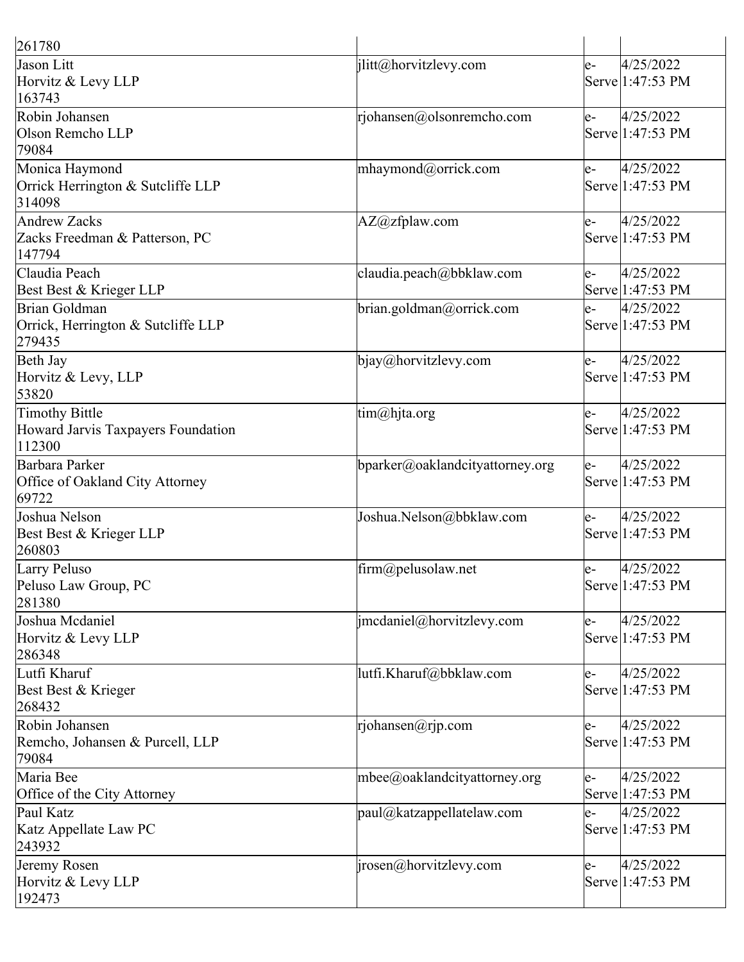| 261780                                                         |                                             |      |                               |
|----------------------------------------------------------------|---------------------------------------------|------|-------------------------------|
| Jason Litt<br>Horvitz & Levy LLP<br>163743                     | jlitt@horvitzlevy.com                       | $e-$ | 4/25/2022<br>Serve 1:47:53 PM |
| Robin Johansen<br>Olson Remcho LLP<br>79084                    | rjohansen@olsonremcho.com                   | $e-$ | 4/25/2022<br>Serve 1:47:53 PM |
| Monica Haymond<br>Orrick Herrington & Sutcliffe LLP<br>314098  | mhaymond@orrick.com                         | e-   | 4/25/2022<br>Serve 1:47:53 PM |
| Andrew Zacks<br>Zacks Freedman & Patterson, PC<br>147794       | $AZ@zf$ plaw.com                            | e-   | 4/25/2022<br>Serve 1:47:53 PM |
| Claudia Peach<br>Best Best & Krieger LLP                       | claudia.peach@bbklaw.com                    | le-  | 4/25/2022<br>Serve 1:47:53 PM |
| Brian Goldman<br>Orrick, Herrington & Sutcliffe LLP<br>279435  | brian.goldman@orrick.com                    | e-   | 4/25/2022<br>Serve 1:47:53 PM |
| Beth Jay<br>Horvitz & Levy, LLP<br>53820                       | bjay@horvitzlevy.com                        | e-   | 4/25/2022<br>Serve 1:47:53 PM |
| Timothy Bittle<br>Howard Jarvis Taxpayers Foundation<br>112300 | tim@hjta.org                                | le-  | 4/25/2022<br>Serve 1:47:53 PM |
| Barbara Parker<br>Office of Oakland City Attorney<br>69722     | bparker@oaklandcityattorney.org             | le-  | 4/25/2022<br>Serve 1:47:53 PM |
| Joshua Nelson<br>Best Best & Krieger LLP<br>260803             | Joshua.Nelson@bbklaw.com                    | e-   | 4/25/2022<br>Serve 1:47:53 PM |
| Larry Peluso<br>Peluso Law Group, PC<br>281380                 | $\lim_{\omega}$ firm $\omega$ pelusolaw.net | e-   | 4/25/2022<br>Serve 1:47:53 PM |
| Joshua Mcdaniel<br>Horvitz & Levy LLP<br>286348                | imcdaniel@horvitzlevy.com                   | e-   | 4/25/2022<br>Serve 1:47:53 PM |
| Lutfi Kharuf<br>Best Best & Krieger<br>268432                  | lutfi.Kharuf@bbklaw.com                     | e-   | 4/25/2022<br>Serve 1:47:53 PM |
| Robin Johansen<br>Remcho, Johansen & Purcell, LLP<br>79084     | rjohansen@rjp.com                           | e-   | 4/25/2022<br>Serve 1:47:53 PM |
| Maria Bee<br>Office of the City Attorney                       | $m$ bee@oaklandcityattorney.org             | le-  | 4/25/2022<br>Serve 1:47:53 PM |
| Paul Katz<br>Katz Appellate Law PC<br>243932                   | $[$ paul@katzappellatelaw.com               | le-  | 4/25/2022<br>Serve 1:47:53 PM |
| Jeremy Rosen<br>Horvitz & Levy LLP<br>192473                   | irosen@horvitzlevy.com                      | e-   | 4/25/2022<br>Serve 1:47:53 PM |